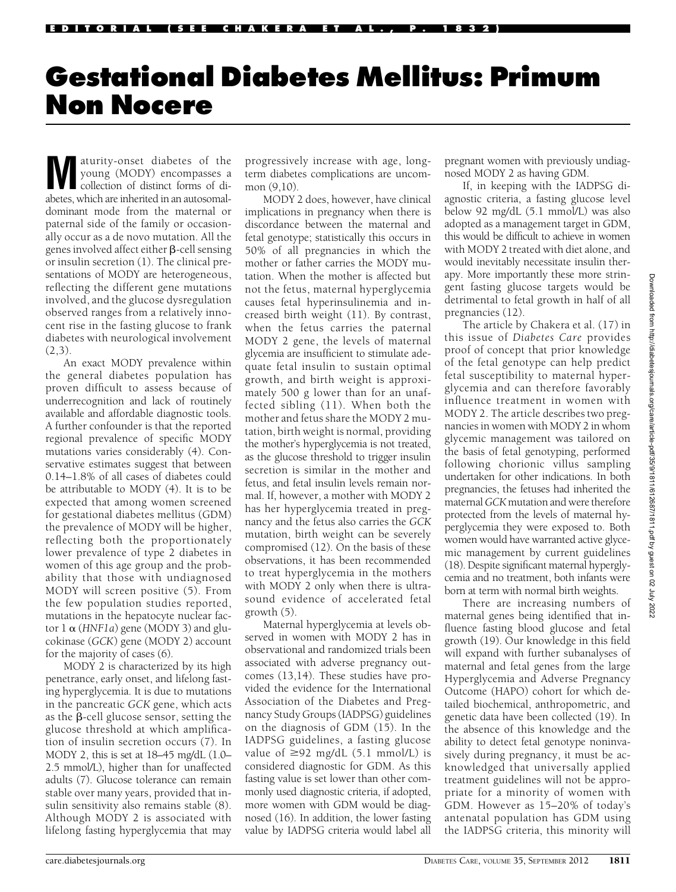# Gestational Diabetes Mellitus: Primum Non Nocere

aturity-onset diabetes of the young (MODY) encompasses a collection of distinct forms of diabetes, which are inherited in an autosomaldominant mode from the maternal or paternal side of the family or occasionally occur as a de novo mutation. All the genes involved affect either  $\beta$ -cell sensing or insulin secretion (1). The clinical presentations of MODY are heterogeneous, reflecting the different gene mutations involved, and the glucose dysregulation observed ranges from a relatively innocent rise in the fasting glucose to frank diabetes with neurological involvement  $(2,3)$ .

An exact MODY prevalence within the general diabetes population has proven difficult to assess because of underrecognition and lack of routinely available and affordable diagnostic tools. A further confounder is that the reported regional prevalence of specific MODY mutations varies considerably (4). Conservative estimates suggest that between 0.14–1.8% of all cases of diabetes could be attributable to MODY (4). It is to be expected that among women screened for gestational diabetes mellitus (GDM) the prevalence of MODY will be higher, reflecting both the proportionately lower prevalence of type 2 diabetes in women of this age group and the probability that those with undiagnosed MODY will screen positive (5). From the few population studies reported, mutations in the hepatocyte nuclear factor  $1 \alpha$  (HNF1a) gene (MODY 3) and glucokinase (GCK) gene (MODY 2) account for the majority of cases (6).

MODY 2 is characterized by its high penetrance, early onset, and lifelong fasting hyperglycemia. It is due to mutations in the pancreatic GCK gene, which acts as the  $\beta$ -cell glucose sensor, setting the glucose threshold at which amplification of insulin secretion occurs (7). In MODY 2, this is set at 18–45 mg/dL (1.0– 2.5 mmol/L), higher than for unaffected adults (7). Glucose tolerance can remain stable over many years, provided that insulin sensitivity also remains stable (8). Although MODY 2 is associated with lifelong fasting hyperglycemia that may progressively increase with age, longterm diabetes complications are uncommon  $(9.10)$ .

MODY 2 does, however, have clinical implications in pregnancy when there is discordance between the maternal and fetal genotype; statistically this occurs in 50% of all pregnancies in which the mother or father carries the MODY mutation. When the mother is affected but not the fetus, maternal hyperglycemia causes fetal hyperinsulinemia and increased birth weight (11). By contrast, when the fetus carries the paternal MODY 2 gene, the levels of maternal glycemia are insufficient to stimulate adequate fetal insulin to sustain optimal growth, and birth weight is approximately 500 g lower than for an unaffected sibling (11). When both the mother and fetus share the MODY 2 mutation, birth weight is normal, providing the mother's hyperglycemia is not treated, as the glucose threshold to trigger insulin secretion is similar in the mother and fetus, and fetal insulin levels remain normal. If, however, a mother with MODY 2 has her hyperglycemia treated in pregnancy and the fetus also carries the GCK mutation, birth weight can be severely compromised (12). On the basis of these observations, it has been recommended to treat hyperglycemia in the mothers with MODY 2 only when there is ultrasound evidence of accelerated fetal growth (5).

Maternal hyperglycemia at levels observed in women with MODY 2 has in observational and randomized trials been associated with adverse pregnancy outcomes (13,14). These studies have provided the evidence for the International Association of the Diabetes and Pregnancy Study Groups (IADPSG) guidelines on the diagnosis of GDM (15). In the IADPSG guidelines, a fasting glucose value of  $\geq$ 92 mg/dL (5.1 mmol/L) is considered diagnostic for GDM. As this fasting value is set lower than other commonly used diagnostic criteria, if adopted, more women with GDM would be diagnosed (16). In addition, the lower fasting value by IADPSG criteria would label all

pregnant women with previously undiagnosed MODY 2 as having GDM.

If, in keeping with the IADPSG diagnostic criteria, a fasting glucose level below 92 mg/dL (5.1 mmol/L) was also adopted as a management target in GDM, this would be difficult to achieve in women with MODY 2 treated with diet alone, and would inevitably necessitate insulin therapy. More importantly these more stringent fasting glucose targets would be detrimental to fetal growth in half of all pregnancies (12).

The article by Chakera et al. (17) in this issue of Diabetes Care provides proof of concept that prior knowledge of the fetal genotype can help predict fetal susceptibility to maternal hyperglycemia and can therefore favorably influence treatment in women with MODY 2. The article describes two pregnancies in women with MODY 2 in whom glycemic management was tailored on the basis of fetal genotyping, performed following chorionic villus sampling undertaken for other indications. In both pregnancies, the fetuses had inherited the maternal GCK mutation and were therefore protected from the levels of maternal hyperglycemia they were exposed to. Both women would have warranted active glycemic management by current guidelines (18). Despite significant maternal hyperglycemia and no treatment, both infants were born at term with normal birth weights.

There are increasing numbers of maternal genes being identified that influence fasting blood glucose and fetal growth (19). Our knowledge in this field will expand with further subanalyses of maternal and fetal genes from the large Hyperglycemia and Adverse Pregnancy Outcome (HAPO) cohort for which detailed biochemical, anthropometric, and genetic data have been collected (19). In the absence of this knowledge and the ability to detect fetal genotype noninvasively during pregnancy, it must be acknowledged that universally applied treatment guidelines will not be appropriate for a minority of women with GDM. However as 15–20% of today's antenatal population has GDM using the IADPSG criteria, this minority will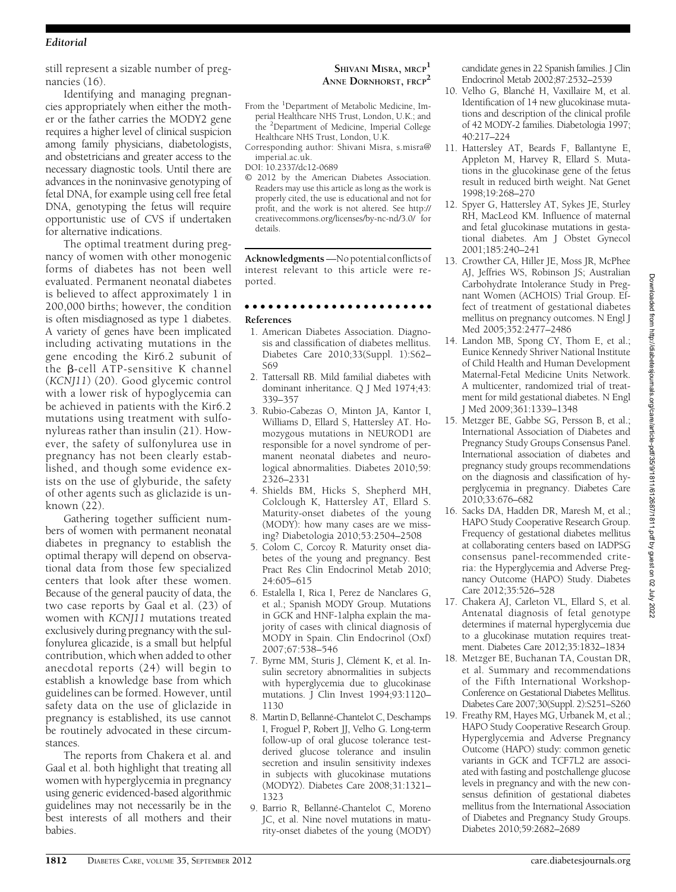## Editorial

still represent a sizable number of pregnancies (16).

Identifying and managing pregnancies appropriately when either the mother or the father carries the MODY2 gene requires a higher level of clinical suspicion among family physicians, diabetologists, and obstetricians and greater access to the necessary diagnostic tools. Until there are advances in the noninvasive genotyping of fetal DNA, for example using cell free fetal DNA, genotyping the fetus will require opportunistic use of CVS if undertaken for alternative indications.

The optimal treatment during pregnancy of women with other monogenic forms of diabetes has not been well evaluated. Permanent neonatal diabetes is believed to affect approximately 1 in 200,000 births; however, the condition is often misdiagnosed as type 1 diabetes. A variety of genes have been implicated including activating mutations in the gene encoding the Kir6.2 subunit of the b-cell ATP-sensitive K channel (KCNJ11) (20). Good glycemic control with a lower risk of hypoglycemia can be achieved in patients with the Kir6.2 mutations using treatment with sulfonylureas rather than insulin (21). However, the safety of sulfonylurea use in pregnancy has not been clearly established, and though some evidence exists on the use of glyburide, the safety of other agents such as gliclazide is unknown (22).

Gathering together sufficient numbers of women with permanent neonatal diabetes in pregnancy to establish the optimal therapy will depend on observational data from those few specialized centers that look after these women. Because of the general paucity of data, the two case reports by Gaal et al. (23) of women with KCNJ11 mutations treated exclusively during pregnancy with the sulfonylurea glicazide, is a small but helpful contribution, which when added to other anecdotal reports (24) will begin to establish a knowledge base from which guidelines can be formed. However, until safety data on the use of gliclazide in pregnancy is established, its use cannot be routinely advocated in these circumstances.

The reports from Chakera et al. and Gaal et al. both highlight that treating all women with hyperglycemia in pregnancy using generic evidenced-based algorithmic guidelines may not necessarily be in the best interests of all mothers and their babies.

#### SHIVANI MISRA, MRCP<sup>1</sup> ANNE DORNHORST, FRCP<sup>2</sup>

- From the <sup>1</sup>Department of Metabolic Medicine, Imperial Healthcare NHS Trust, London, U.K.; and the <sup>2</sup>Department of Medicine, Imperial College Healthcare NHS Trust, London, U.K.
- Corresponding author: Shivani Misra, [s.misra@](mailto:s.misra@imperial.ac.uk) [imperial.ac.uk](mailto:s.misra@imperial.ac.uk).
- DOI: 10.2337/dc12-0689
- © 2012 by the American Diabetes Association. Readers may use this article as long as the work is properly cited, the use is educational and not for profit, and the work is not altered. See http:// creativecommons.org/licenses/by-nc-nd/3.0/ for details.

Acknowledgments —No potential conflicts of interest relevant to this article were reported.

### cccccccccccccccccccccccc

#### References

- 1. American Diabetes Association. Diagnosis and classification of diabetes mellitus. Diabetes Care 2010;33(Suppl. 1):S62– S69
- 2. Tattersall RB. Mild familial diabetes with dominant inheritance. Q J Med 1974;43: 339–357
- 3. Rubio-Cabezas O, Minton JA, Kantor I, Williams D, Ellard S, Hattersley AT. Homozygous mutations in NEUROD1 are responsible for a novel syndrome of permanent neonatal diabetes and neurological abnormalities. Diabetes 2010;59: 2326–2331
- 4. Shields BM, Hicks S, Shepherd MH, Colclough K, Hattersley AT, Ellard S. Maturity-onset diabetes of the young (MODY): how many cases are we missing? Diabetologia 2010;53:2504–2508
- 5. Colom C, Corcoy R. Maturity onset diabetes of the young and pregnancy. Best Pract Res Clin Endocrinol Metab 2010; 24:605–615
- 6. Estalella I, Rica I, Perez de Nanclares G, et al.; Spanish MODY Group. Mutations in GCK and HNF-1alpha explain the majority of cases with clinical diagnosis of MODY in Spain. Clin Endocrinol (Oxf) 2007;67:538–546
- 7. Byrne MM, Sturis J, Clément K, et al. Insulin secretory abnormalities in subjects with hyperglycemia due to glucokinase mutations. J Clin Invest 1994;93:1120– 1130
- 8. Martin D, Bellanné-Chantelot C, Deschamps I, Froguel P, Robert JJ, Velho G. Long-term follow-up of oral glucose tolerance testderived glucose tolerance and insulin secretion and insulin sensitivity indexes in subjects with glucokinase mutations (MODY2). Diabetes Care 2008;31:1321– 1323
- 9. Barrio R, Bellanné-Chantelot C, Moreno JC, et al. Nine novel mutations in maturity-onset diabetes of the young (MODY)

candidate genes in 22 Spanish families. J Clin Endocrinol Metab 2002;87:2532–2539

- 10. Velho G, Blanché H, Vaxillaire M, et al. Identification of 14 new glucokinase mutations and description of the clinical profile of 42 MODY-2 families. Diabetologia 1997; 40:217–224
- 11. Hattersley AT, Beards F, Ballantyne E, Appleton M, Harvey R, Ellard S. Mutations in the glucokinase gene of the fetus result in reduced birth weight. Nat Genet 1998;19:268–270
- 12. Spyer G, Hattersley AT, Sykes JE, Sturley RH, MacLeod KM. Influence of maternal and fetal glucokinase mutations in gestational diabetes. Am J Obstet Gynecol 2001;185:240–241
- 13. Crowther CA, Hiller JE, Moss JR, McPhee AJ, Jeffries WS, Robinson JS; Australian Carbohydrate Intolerance Study in Pregnant Women (ACHOIS) Trial Group. Effect of treatment of gestational diabetes mellitus on pregnancy outcomes. N Engl J Med 2005;352:2477–2486
- 14. Landon MB, Spong CY, Thom E, et al.; Eunice Kennedy Shriver National Institute of Child Health and Human Development Maternal-Fetal Medicine Units Network. A multicenter, randomized trial of treatment for mild gestational diabetes. N Engl J Med 2009;361:1339–1348
- 15. Metzger BE, Gabbe SG, Persson B, et al.; International Association of Diabetes and Pregnancy Study Groups Consensus Panel. International association of diabetes and pregnancy study groups recommendations on the diagnosis and classification of hyperglycemia in pregnancy. Diabetes Care 2010;33:676–682
- 16. Sacks DA, Hadden DR, Maresh M, et al.; HAPO Study Cooperative Research Group. Frequency of gestational diabetes mellitus at collaborating centers based on IADPSG consensus panel-recommended criteria: the Hyperglycemia and Adverse Pregnancy Outcome (HAPO) Study. Diabetes Care 2012;35:526–528
- 17. Chakera AJ, Carleton VL, Ellard S, et al. Antenatal diagnosis of fetal genotype determines if maternal hyperglycemia due to a glucokinase mutation requires treatment. Diabetes Care 2012;35:1832–1834
- 18. Metzger BE, Buchanan TA, Coustan DR, et al. Summary and recommendations of the Fifth International Workshop-Conference on Gestational Diabetes Mellitus. Diabetes Care 2007;30(Suppl. 2):S251–S260
- 19. Freathy RM, Hayes MG, Urbanek M, et al.; HAPO Study Cooperative Research Group. Hyperglycemia and Adverse Pregnancy Outcome (HAPO) study: common genetic variants in GCK and TCF7L2 are associated with fasting and postchallenge glucose levels in pregnancy and with the new consensus definition of gestational diabetes mellitus from the International Association of Diabetes and Pregnancy Study Groups. Diabetes 2010;59:2682–2689